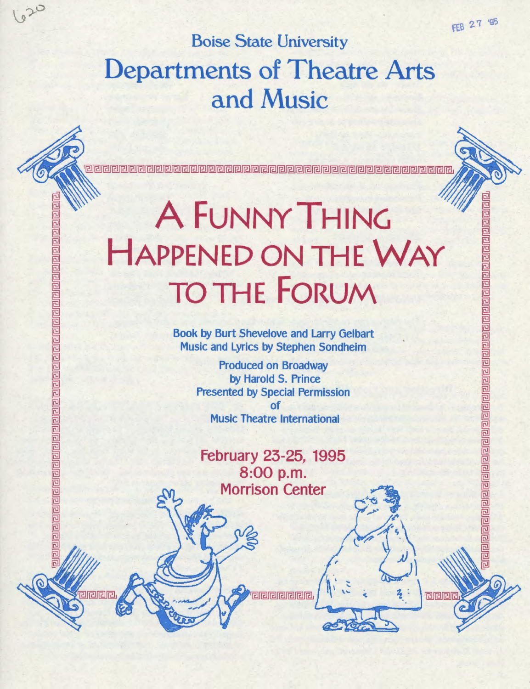elelelelelelelelelelelelelelelel

回

回 己

包

已 亘

> 己  $\overline{a}$ 己

**releig** 

## Boise State University Departments of Theatre Arts and Music

620

elelelelel

œ 芭 巵 厄 厄

电巴

واواوالواواواواواواواواواواواواوا

<u>orarara</u>

# A FUNNY THING HAPPENED ON THE WAY TOTHE fORUM

20000000000000000

Book by Burt Shevelove and Larry Gelbart Music and Lyrics by Stephen Sondheim

> Produced on BroadWay by Harold S. Prince Presented by Special Permission of Music Theatre International

February 23-25, 1995 8:00 p.m. Morrison Center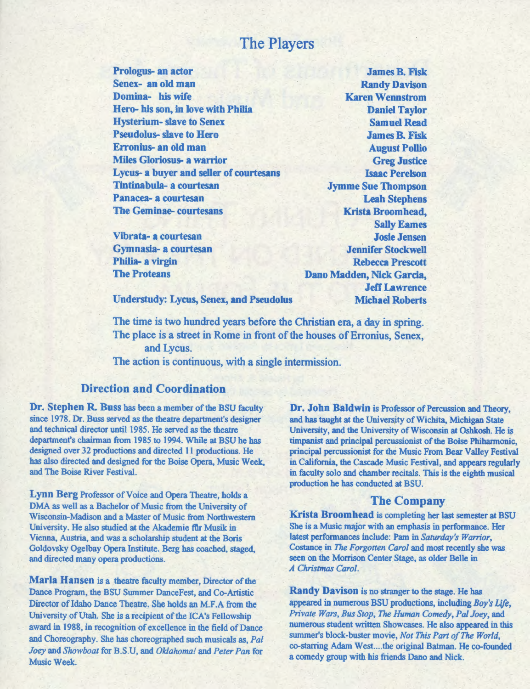#### The Players

Prologus- an actor Senex- an old man Domina- his wife Hero- his son, in love with Philia Hysterium- slave to Senex Pseudolus- slave to Hero Erronius- an old man Miles Gloriosus- a warrior Lycus- a buyer and seller of courtesans Tintinabula- a courtesan Panacea- a courtesan The Geminae- courtesans

Vibrata- a courtesan Gymnasia- a courtesan Philia- a virgin The Proteans

James B. Fisk Randy Davison Karen Wennstrom Daniel Taylor Samuel Read James B. Fisk August Pollio Greg Justice Isaac Perelson Jymme Sue Thompson Leah Stephens Krista Broomhead, Sally Eames Josie Jensen Jennifer Stockwell Rebecca Prescott Dano Madden, Nick Garcia, Jeff Lawrence Michael Roberts

Understudy: Lycus, Senex, and Pseudolus

The time is two hundred years before the Christian era, a day in spring. The place is a street in Rome in front of the houses of Erronius, Senex, and Lycus. The action is continuous, with a single intermission.

#### Direction and Coordination

Dr. Stephen R. Buss has been a member of the BSU faculty since 1978. Dr. Buss served as the theatre department's designer and technical director until 1985. He served as the theatre department's chairman from 1985 to 1994. While at BSU he has designed over 32 productions and directed 11 productions. He has also directed and designed for the Boise Opera, Music Week, and The Boise River Festival.

Lynn Berg Professor of Voice and Opera Theatre, holds a DMA as well as a Bachelor of Music from the University of Wisconsin-Madison and a Master of Music from Northwestern University. He also studied at the Akademie flir Musik in Vienna, Austria, and was a scholarship student at the Boris Goldovsky Ogelbay Opera Institute. Berg has coached, staged, and directed many opera productions.

Marla Hansen is a theatre faculty member, Director of the Dance Program, the BSU Summer DanceFest, and Co-Artistic Director of Idaho Dance Theatre. She holds an M.F.A from the University of Utah. She is a recipient of the ICA's Fellowship award in 1988, in recognition of excellence in the field of Dance and Choreography. She has choreographed such musicals as, *Pal Joey* and *Showboat* for B.S.U, and *Oklahoma!* and *Peter Pan* for Music Week.

Dr. John Baldwin is Professor of Percussion and Theory, and has taught at the University of Wichita, Michigan State University, and the University of Wisconsin at Oshkosh. He is timpanist and principal percussionist of the Boise Phiharmonic, principal percussionist for the Music From Bear Valley Festival in California, the Cascade Music Festival, and appears regularly in faculty solo and chamber recitals. This is the eighth musical production he has conducted at BSU.

#### The Company

Krista Broomhead is completing her last semester at BSU She is a Music major with an emphasis in performance. Her latest performances include: Pam in *Saturday's Warrior,*  Costance in *The Forgotten Carol* and most recently she was seen on the Morrison Center Stage, as older Belle in *A Christmas Carol.* 

Randy Davison is no stranger to the stage. He has appeared in nwnerous BSU productions, including *Boy's Life, Private Wars, Bus Stop, The Human Comedy, Pal Joey,* and numerous student written Showcases. He also appeared in this summer's block-buster movie, *Not This Part of The World,*  co-starring Adam West....the original Batman. He co-founded a comedy group with his friends Dano and Nick.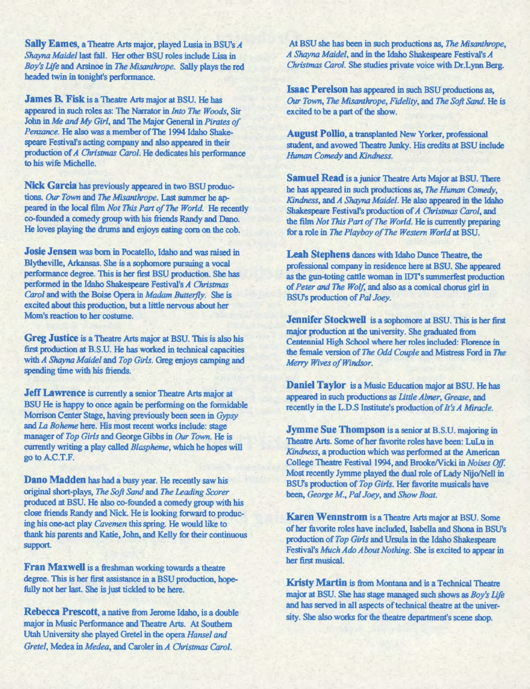Sally Eames, a Theatre Arts major, played Lusia in BSU's *<sup>A</sup> Shayna Maidel* last fall. Her other BSU roles include Lisa in *Boy's Life* and Arsinoe in The *Misanthrope.* Sally plays the red headed twin in tonight's perfonnance.

James B. Fisk is a Theatre Arts major at BSU. He has appeared in such roles as: The Narrator in *Into* The *Woods,* Sir John in *Me and My Girl,* and The Major General in *Pirates of Penzance.* He also was a member ofThe 1994 Idaho Shakespeare Festival's acting company and also appeared in their production of *A Christmas Carol;* He dedicates his performance to his wife Michelle.

Nick Garcia has previously appeared in two BSU productions. *Our Town* and *The Misanthrope.* Last summer he appeared in the local film *Not This Part of* The *World.* He recently co-founded a comedy group with his friends Randy and Dano. He loves playing the drums and enjoys eating corn on the cob.

Josie Jensen was born in Pocatello, Idaho and was raised in Blytheville, Arkansas. She is a sophomore pursuing a vocal performance degree. This is her first BSU production. She has performed in the Idaho Shakespeare Festival's *A Christmas Carol* and with the Boise Opera in *Madam Butterfly*. She is excited about this production, but a little nervous about her Mom's reaction to her costume.

Greg Justice is a Theatre Arts major at BSU. This is also his first production at B.S.U. He has worked in technical capacities with *A Shayna Maidel* and *Top Girls.* Greg enjoys camping and spending time with his friends.

Jeff Lawrence is currently a senior Theatre Arts major at BSU He is happy to once again be performing on the formidable Morrison Center Stage, having previously been seen in *Gypsy*  and *La Boheme* here. His most recent works include: stage manager of *Top Girls* and George Gibbs in *Our Town.* He is currently writing a play called *Blaspheme,* which he hopes will go to A.C.T.F.

Dano Madden has had a busy year. He recently saw his original short-plays, *The Soft Sand* and *The Leading Scorer*  produced at BSU. He also co-founded a comedy group with his close friends Randy and Nick. He is looking forward to producing his one-act play *Cavemen* this spring. He would like to thank his parents and Katie, John, and Kelly for their continuous support.

Fran Maxwell is a freshman working towards a theatre degree. This is her first assistance in a BSU production, hopefully not her last. She is just tickled to be here.

Rebecca Prescott, a native from Jerome Idaho, is a double major in Music Performance and Theatre Arts. At Southern Utah University she played Gretel in the opera *Hansel and Gretel,* Medea in *Medea,* and Caroler in *A Christmas Carol.* 

At BSU she has been in such productions as, The *Misanthrope, A Shayna Maidel,* and in the Idaho Shakespeare Festival's *A Christmas Carol.* She studies private voice with Dr.Lynn Berg.

Isaac Perelson has appeared in such BSU productions as, *Our Town,* The *Misanthrope, Fidelity,* and *The Soft Sand.* He is excited to be a part of the show.

August Pollio, a transplanted New Yorker, professional student, and avowed Theatre Junky. His credits at BSU include *Human Comedy* and *Kindness.* 

Samuel Read is a junior Theatre Arts Major at BSU. There he has appeared in such productions as, *The Human Comedy, Kindness,* and *A Shayna Maidel.* He also appeared in the Idaho Shakespeare Festival's production of *A Christmas Carol,* and the film *Not This Part of* The *World.* He is currently preparing for a role in *The Playboy of The Western World* at BSU.

Leah Stephens dances with Idaho Dance Theatre, the professional company in residence here at BSU. She appeared as the gun-toting cattle woman in IDT's summerfest production of *Peter and* The *Wolf,* and also as a comical chorus girl in BSU's production of *Pal Joey.* 

Jennifer Stockwell is a sophomore at BSU. This is her first major production at the university. She graduated from Centennial High School where her roles included: Florence in the female version of The *Odd Couple* and Mistress Ford in *The Merry Wives of Windsor.* 

Daniel Taylor is a Music Education major at BSU. He has appeared in such productions as *Little Abner, Grease,* and recently in the L.D.S Institute's production of *It's A Miracle.* 

Jymme Sue Thompson is a senior at B.S.U. majoring in Theatre Arts. Some of her favorite roles have been: LuLu in *Kindness,* a production which was performed at the American College Theatre Festival 1994, and Brooke/Vicki in *Noises Off.* Most recently Jymme played the dual role of Lady Nijo/Nell in BSU's production of *Top Girls.* Her favorite musicals have been, *George M., Pal Joey,* and *Show Boat.* 

Karen Wennstrom is a Theatre Arts major at BSU. Some of her favorite roles have included, Isabella and Shona in BSU's production of *Top Girls* and Ursula in the Idaho Shakespeare Festival's *Much Ado About Nothing.* She is excited to appear in her first musical.

Kristy Martin is from Montana and is a Technical Theatre major at BSU. She has stage managed such shows as *Boy's Lifo*  and has served in all aspects of technical theatre at the university. She also works for the theatre department's scene shop.